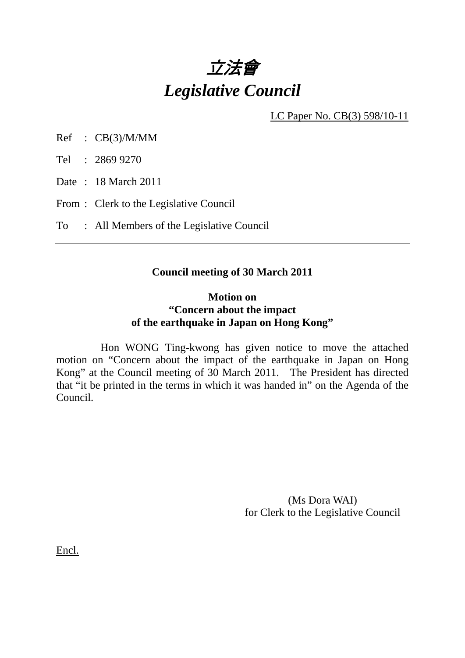

LC Paper No. CB(3) 598/10-11

Ref : CB(3)/M/MM

Tel : 2869 9270

Date : 18 March 2011

From : Clerk to the Legislative Council

To : All Members of the Legislative Council

## **Council meeting of 30 March 2011**

## **Motion on "Concern about the impact of the earthquake in Japan on Hong Kong"**

 Hon WONG Ting-kwong has given notice to move the attached motion on "Concern about the impact of the earthquake in Japan on Hong Kong" at the Council meeting of 30 March 2011. The President has directed that "it be printed in the terms in which it was handed in" on the Agenda of the Council.

> (Ms Dora WAI) for Clerk to the Legislative Council

Encl.